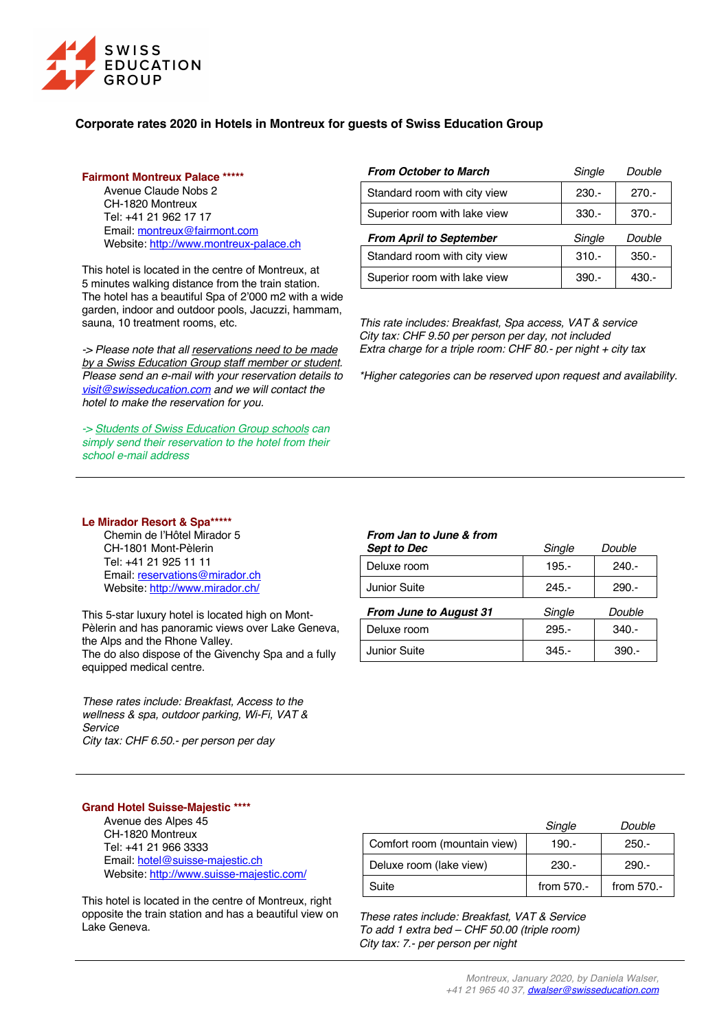

# **Corporate rates 2020 in Hotels in Montreux for guests of Swiss Education Group**

### **Fairmont Montreux Palace \*\*\*\*\***

Avenue Claude Nobs 2 CH-1820 Montreux Tel: +41 21 962 17 17 Email: montreux@fairmont.com Website: http://www.montreux-palace.ch

This hotel is located in the centre of Montreux, at 5 minutes walking distance from the train station. The hotel has a beautiful Spa of 2'000 m2 with a wide garden, indoor and outdoor pools, Jacuzzi, hammam, sauna, 10 treatment rooms, etc.

*-> Please note that all reservations need to be made by a Swiss Education Group staff member or student. Please send an e-mail with your reservation details to visit@swisseducation.com and we will contact the hotel to make the reservation for you.*

*-> Students of Swiss Education Group schools can simply send their reservation to the hotel from their school e-mail address*

## **Le Mirador Resort & Spa\*\*\*\*\***

Chemin de l'Hôtel Mirador 5 CH-1801 Mont-Pèlerin Tel: +41 21 925 11 11 Email: reservations@mirador.ch Website: http://www.mirador.ch/

This 5-star luxury hotel is located high on Mont-Pèlerin and has panoramic views over Lake Geneva, the Alps and the Rhone Valley. The do also dispose of the Givenchy Spa and a fully equipped medical centre.

*These rates include: Breakfast, Access to the wellness & spa, outdoor parking, Wi-Fi, VAT & Service City tax: CHF 6.50.- per person per day*

| <b>From October to March</b>   | Single  | Double  |
|--------------------------------|---------|---------|
| Standard room with city view   | $230 -$ | $270 -$ |
| Superior room with lake view   | $330 -$ | $370 -$ |
|                                |         |         |
| <b>From April to September</b> | Single  | Double  |
| Standard room with city view   | $310 -$ | $350 -$ |

*This rate includes: Breakfast, Spa access, VAT & service City tax: CHF 9.50 per person per day, not included Extra charge for a triple room: CHF 80.- per night + city tax*

*\*Higher categories can be reserved upon request and availability.*

### *From Jan to June & from*

| <b>Sept to Dec</b> | Single   | Double  |
|--------------------|----------|---------|
| Deluxe room        | 195.-    | $240 -$ |
| Junior Suite       | $245. -$ | $290 -$ |
|                    |          |         |

| <b>From June to August 31</b> | Single   | Double  |
|-------------------------------|----------|---------|
| Deluxe room                   | $295 -$  | $340 -$ |
| Junior Suite                  | $345. -$ | $390 -$ |

### **Grand Hotel Suisse-Majestic \*\*\*\***

Avenue des Alpes 45 CH-1820 Montreux Tel: +41 21 966 3333 Email: hotel@suisse-majestic.ch Website: http://www.suisse-majestic.com/

This hotel is located in the centre of Montreux, right opposite the train station and has a beautiful view on Lake Geneva.

|                              | Single     | Double     |
|------------------------------|------------|------------|
| Comfort room (mountain view) | 190.-      | $250 -$    |
| Deluxe room (lake view)      | $230 -$    | $290 -$    |
| Suite                        | from 570.- | from 570.- |

*These rates include: Breakfast, VAT & Service To add 1 extra bed – CHF 50.00 (triple room) City tax: 7.- per person per night*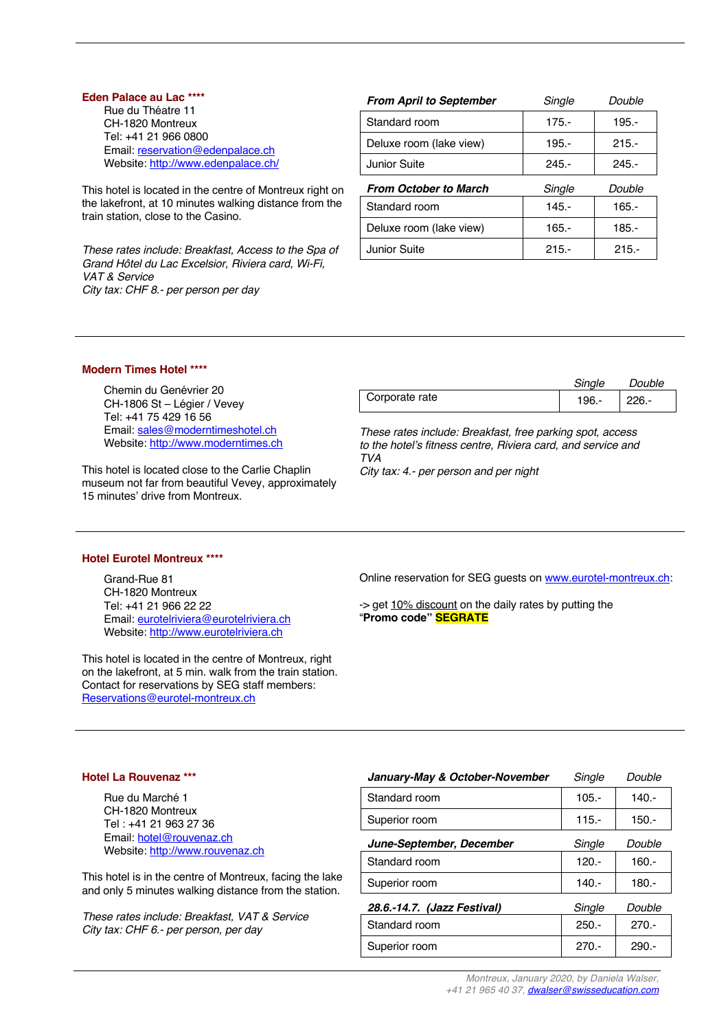### **Eden Palace au Lac \*\*\*\***

Rue du Théatre 11 CH-1820 Montreux Tel: +41 21 966 0800 Email: reservation@edenpalace.ch Website: http://www.edenpalace.ch/

This hotel is located in the centre of Montreux right on the lakefront, at 10 minutes walking distance from the train station, close to the Casino.

*These rates include: Breakfast, Access to the Spa of Grand Hôtel du Lac Excelsior, Riviera card, Wi-Fi, VAT & Service City tax: CHF 8.- per person per day*

| <b>From April to September</b> | Single   | Double  |
|--------------------------------|----------|---------|
| Standard room                  | $175 -$  | $195 -$ |
| Deluxe room (lake view)        | $195 -$  | $215 -$ |
| Junior Suite                   | $245. -$ | $245 -$ |
| <b>From October to March</b>   | Single   | Double  |
| Standard room                  | $145 -$  | $165 -$ |
| Deluxe room (lake view)        | $165. -$ | 185.-   |
| Junior Suite                   | $215 -$  | $215 -$ |

## **Modern Times Hotel \*\*\*\***

Chemin du Genévrier 20 CH-1806 St – Légier / Vevey Tel: +41 75 429 16 56 Email: sales@moderntimeshotel.ch Website: http://www.moderntimes.ch

This hotel is located close to the Carlie Chaplin museum not far from beautiful Vevey, approximately 15 minutes' drive from Montreux.

|                | Single | Double |
|----------------|--------|--------|
| Corporate rate | 196.-  | 226.-  |

*These rates include: Breakfast, free parking spot, access to the hotel's fitness centre, Riviera card, and service and TVA*

*City tax: 4.- per person and per night* 

### **Hotel Eurotel Montreux \*\*\*\***

Grand-Rue 81 CH-1820 Montreux Tel: +41 21 966 22 22 Email: eurotelriviera@eurotelriviera.ch Website: http://www.eurotelriviera.ch

This hotel is located in the centre of Montreux, right on the lakefront, at 5 min. walk from the train station. Contact for reservations by SEG staff members: Reservations@eurotel-montreux.ch

Online reservation for SEG guests on www.eurotel-montreux.ch:

-> get 10% discount on the daily rates by putting the "**Promo code" SEGRATE**

#### **Hotel La Rouvenaz \*\*\***

Rue du Marché 1 CH-1820 Montreux Tel : +41 21 963 27 36 Email: hotel@rouvenaz.ch Website: http://www.rouvenaz.ch

This hotel is in the centre of Montreux, facing the lake and only 5 minutes walking distance from the station.

*These rates include: Breakfast, VAT & Service City tax: CHF 6.- per person, per day*

| Single   | Double  |
|----------|---------|
| $105. -$ | $140 -$ |
| $115. -$ | $150 -$ |
| Single   | Double  |
| $120 -$  | 160.-   |
| 140.-    | 180.-   |
| Single   | Double  |
| $250 -$  | $270 -$ |
| $270 -$  | $290 -$ |
|          |         |

*Montreux, January 2020, by Daniela Walser, +41 21 965 40 37, dwalser@swisseducation.com*